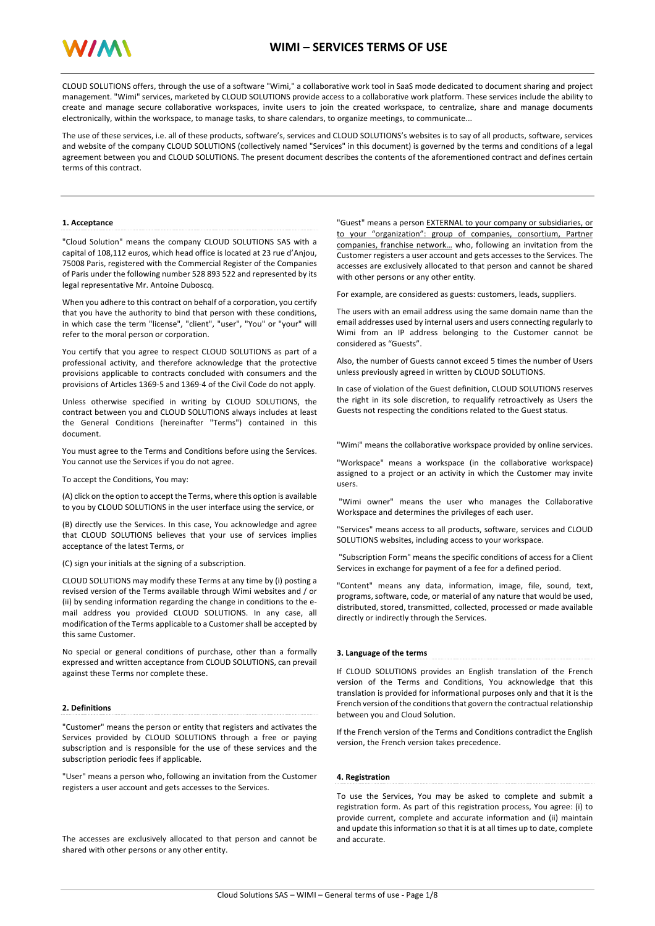

CLOUD SOLUTIONS offers, through the use of a software "Wimi," a collaborative work tool in SaaS mode dedicated to document sharing and project management. "Wimi" services, marketed by CLOUD SOLUTIONS provide access to a collaborative work platform. These services include the ability to create and manage secure collaborative workspaces, invite users to join the created workspace, to centralize, share and manage documents electronically, within the workspace, to manage tasks, to share calendars, to organize meetings, to communicate...

The use of these services, i.e. all of these products, software's, services and CLOUD SOLUTIONS's websites is to say of all products, software, services and website of the company CLOUD SOLUTIONS (collectively named "Services" in this document) is governed by the terms and conditions of a legal agreement between you and CLOUD SOLUTIONS. The present document describes the contents of the aforementioned contract and defines certain terms of this contract.

## **1. Acceptance**

"Cloud Solution" means the company CLOUD SOLUTIONS SAS with a capital of 108,112 euros, which head office is located at 23 rue d'Anjou, 75008 Paris, registered with the Commercial Register of the Companies of Paris under the following number 528 893 522 and represented by its legal representative Mr. Antoine Duboscq.

When you adhere to this contract on behalf of a corporation, you certify that you have the authority to bind that person with these conditions, in which case the term "license", "client", "user", "You" or "your" will refer to the moral person or corporation.

You certify that you agree to respect CLOUD SOLUTIONS as part of a professional activity, and therefore acknowledge that the protective provisions applicable to contracts concluded with consumers and the provisions of Articles 1369-5 and 1369-4 of the Civil Code do not apply.

Unless otherwise specified in writing by CLOUD SOLUTIONS, the contract between you and CLOUD SOLUTIONS always includes at least the General Conditions (hereinafter "Terms") contained in this document.

You must agree to the Terms and Conditions before using the Services. You cannot use the Services if you do not agree.

To accept the Conditions, You may:

(A) click on the option to accept the Terms, where this option is available to you by CLOUD SOLUTIONS in the user interface using the service, or

(B) directly use the Services. In this case, You acknowledge and agree that CLOUD SOLUTIONS believes that your use of services implies acceptance of the latest Terms, or

(C) sign your initials at the signing of a subscription.

CLOUD SOLUTIONS may modify these Terms at any time by (i) posting a revised version of the Terms available through Wimi websites and / or (ii) by sending information regarding the change in conditions to the email address you provided CLOUD SOLUTIONS. In any case, all modification of the Terms applicable to a Customer shall be accepted by this same Customer.

No special or general conditions of purchase, other than a formally expressed and written acceptance from CLOUD SOLUTIONS, can prevail against these Terms nor complete these.

# **2. Definitions**

"Customer" means the person or entity that registers and activates the Services provided by CLOUD SOLUTIONS through a free or paying subscription and is responsible for the use of these services and the subscription periodic fees if applicable.

"User" means a person who, following an invitation from the Customer registers a user account and gets accesses to the Services.

The accesses are exclusively allocated to that person and cannot be shared with other persons or any other entity.

"Guest" means a person **EXTERNAL to your company or subsidiaries, or** to your "organization": group of companies, consortium, Partner companies, franchise network… who, following an invitation from the Customer registers a user account and gets accesses to the Services. The accesses are exclusively allocated to that person and cannot be shared with other persons or any other entity.

For example, are considered as guests: customers, leads, suppliers.

The users with an email address using the same domain name than the email addresses used by internal users and users connecting regularly to Wimi from an IP address belonging to the Customer cannot be considered as "Guests".

Also, the number of Guests cannot exceed 5 times the number of Users unless previously agreed in written by CLOUD SOLUTIONS.

In case of violation of the Guest definition, CLOUD SOLUTIONS reserves the right in its sole discretion, to requalify retroactively as Users the Guests not respecting the conditions related to the Guest status.

"Wimi" means the collaborative workspace provided by online services.

"Workspace" means a workspace (in the collaborative workspace) assigned to a project or an activity in which the Customer may invite users.

"Wimi owner" means the user who manages the Collaborative Workspace and determines the privileges of each user.

"Services" means access to all products, software, services and CLOUD SOLUTIONS websites, including access to your workspace.

"Subscription Form" means the specific conditions of access for a Client Services in exchange for payment of a fee for a defined period.

"Content" means any data, information, image, file, sound, text, programs, software, code, or material of any nature that would be used, distributed, stored, transmitted, collected, processed or made available directly or indirectly through the Services.

# **3. Language of the terms**

If CLOUD SOLUTIONS provides an English translation of the French version of the Terms and Conditions, You acknowledge that this translation is provided for informational purposes only and that it is the French version of the conditions that govern the contractual relationship between you and Cloud Solution.

If the French version of the Terms and Conditions contradict the English version, the French version takes precedence.

# **4. Registration**

To use the Services, You may be asked to complete and submit a registration form. As part of this registration process, You agree: (i) to provide current, complete and accurate information and (ii) maintain and update this information so that it is at all times up to date, complete and accurate.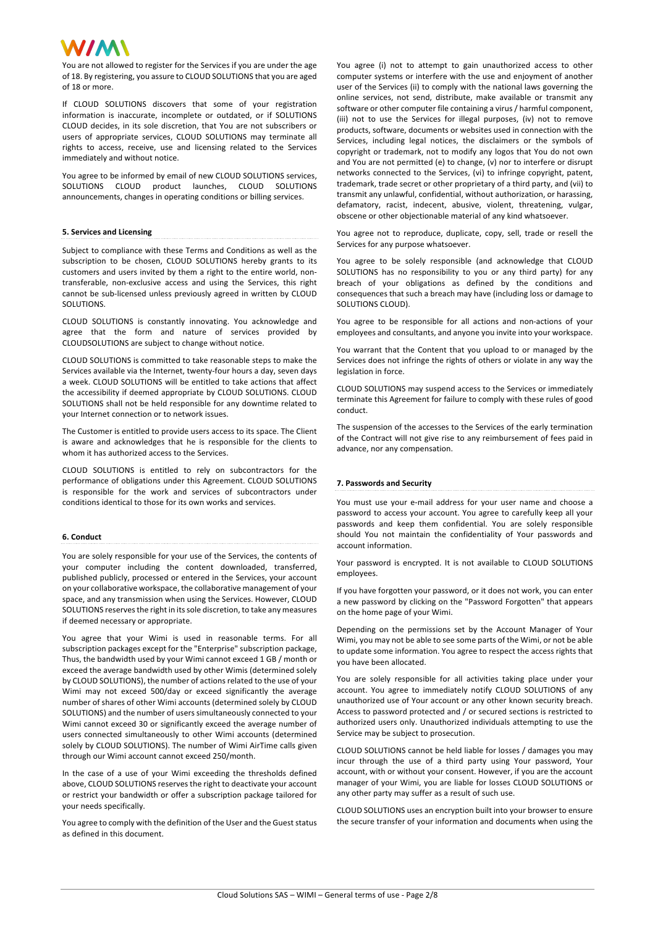You are not allowed to register for the Services if you are under the age of 18. By registering, you assure to CLOUD SOLUTIONS that you are aged of 18 or more.

If CLOUD SOLUTIONS discovers that some of your registration information is inaccurate, incomplete or outdated, or if SOLUTIONS CLOUD decides, in its sole discretion, that You are not subscribers or users of appropriate services, CLOUD SOLUTIONS may terminate all rights to access, receive, use and licensing related to the Services immediately and without notice.

You agree to be informed by email of new CLOUD SOLUTIONS services, SOLUTIONS CLOUD product launches, CLOUD SOLUTIONS announcements, changes in operating conditions or billing services.

## **5. Services and Licensing**

Subject to compliance with these Terms and Conditions as well as the subscription to be chosen, CLOUD SOLUTIONS hereby grants to its customers and users invited by them a right to the entire world, nontransferable, non-exclusive access and using the Services, this right cannot be sub-licensed unless previously agreed in written by CLOUD SOLUTIONS.

CLOUD SOLUTIONS is constantly innovating. You acknowledge and agree that the form and nature of services provided by CLOUDSOLUTIONS are subject to change without notice.

CLOUD SOLUTIONS is committed to take reasonable steps to make the Services available via the Internet, twenty-four hours a day, seven days a week. CLOUD SOLUTIONS will be entitled to take actions that affect the accessibility if deemed appropriate by CLOUD SOLUTIONS. CLOUD SOLUTIONS shall not be held responsible for any downtime related to your Internet connection or to network issues.

The Customer is entitled to provide users access to its space. The Client is aware and acknowledges that he is responsible for the clients to whom it has authorized access to the Services.

CLOUD SOLUTIONS is entitled to rely on subcontractors for the performance of obligations under this Agreement. CLOUD SOLUTIONS is responsible for the work and services of subcontractors under conditions identical to those for its own works and services.

# **6. Conduct**

You are solely responsible for your use of the Services, the contents of your computer including the content downloaded, transferred, published publicly, processed or entered in the Services, your account on your collaborative workspace, the collaborative management of your space, and any transmission when using the Services. However, CLOUD SOLUTIONS reserves the right in its sole discretion, to take any measures if deemed necessary or appropriate.

You agree that your Wimi is used in reasonable terms. For all subscription packages except for the "Enterprise" subscription package, Thus, the bandwidth used by your Wimi cannot exceed 1 GB / month or exceed the average bandwidth used by other Wimis (determined solely by CLOUD SOLUTIONS), the number of actions related to the use of your Wimi may not exceed 500/day or exceed significantly the average number of shares of other Wimi accounts (determined solely by CLOUD SOLUTIONS) and the number of users simultaneously connected to your Wimi cannot exceed 30 or significantly exceed the average number of users connected simultaneously to other Wimi accounts (determined solely by CLOUD SOLUTIONS). The number of Wimi AirTime calls given through our Wimi account cannot exceed 250/month.

In the case of a use of your Wimi exceeding the thresholds defined above, CLOUD SOLUTIONS reserves the right to deactivate your account or restrict your bandwidth or offer a subscription package tailored for your needs specifically.

You agree to comply with the definition of the User and the Guest status as defined in this document.

You agree (i) not to attempt to gain unauthorized access to other computer systems or interfere with the use and enjoyment of another user of the Services (ii) to comply with the national laws governing the online services, not send, distribute, make available or transmit any software or other computer file containing a virus / harmful component, (iii) not to use the Services for illegal purposes, (iv) not to remove products, software, documents or websites used in connection with the Services, including legal notices, the disclaimers or the symbols of copyright or trademark, not to modify any logos that You do not own and You are not permitted (e) to change, (v) nor to interfere or disrupt networks connected to the Services, (vi) to infringe copyright, patent, trademark, trade secret or other proprietary of a third party, and (vii) to transmit any unlawful, confidential, without authorization, or harassing, defamatory, racist, indecent, abusive, violent, threatening, vulgar, obscene or other objectionable material of any kind whatsoever.

You agree not to reproduce, duplicate, copy, sell, trade or resell the Services for any purpose whatsoever.

You agree to be solely responsible (and acknowledge that CLOUD SOLUTIONS has no responsibility to you or any third party) for any breach of your obligations as defined by the conditions and consequences that such a breach may have (including loss or damage to SOLUTIONS CLOUD).

You agree to be responsible for all actions and non-actions of your employees and consultants, and anyone you invite into your workspace.

You warrant that the Content that you upload to or managed by the Services does not infringe the rights of others or violate in any way the legislation in force.

CLOUD SOLUTIONS may suspend access to the Services or immediately terminate this Agreement for failure to comply with these rules of good conduct.

The suspension of the accesses to the Services of the early termination of the Contract will not give rise to any reimbursement of fees paid in advance, nor any compensation.

## **7. Passwords and Security**

You must use your e-mail address for your user name and choose a password to access your account. You agree to carefully keep all your passwords and keep them confidential. You are solely responsible should You not maintain the confidentiality of Your passwords and account information.

Your password is encrypted. It is not available to CLOUD SOLUTIONS employees.

If you have forgotten your password, or it does not work, you can enter a new password by clicking on the "Password Forgotten" that appears on the home page of your Wimi.

Depending on the permissions set by the Account Manager of Your Wimi, you may not be able to see some parts of the Wimi, or not be able to update some information. You agree to respect the access rights that you have been allocated.

You are solely responsible for all activities taking place under your account. You agree to immediately notify CLOUD SOLUTIONS of any unauthorized use of Your account or any other known security breach. Access to password protected and / or secured sections is restricted to authorized users only. Unauthorized individuals attempting to use the Service may be subject to prosecution.

CLOUD SOLUTIONS cannot be held liable for losses / damages you may incur through the use of a third party using Your password, Your account, with or without your consent. However, if you are the account manager of your Wimi, you are liable for losses CLOUD SOLUTIONS or any other party may suffer as a result of such use.

CLOUD SOLUTIONS uses an encryption built into your browser to ensure the secure transfer of your information and documents when using the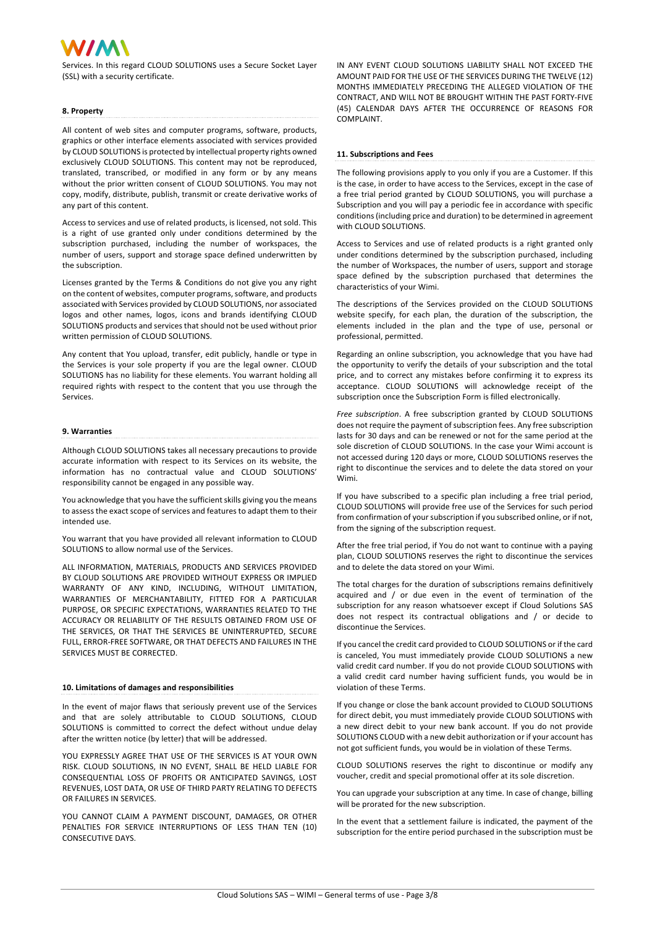Services. In this regard CLOUD SOLUTIONS uses a Secure Socket Layer (SSL) with a security certificate.

# **8. Property**

any part of this content.

All content of web sites and computer programs, software, products, graphics or other interface elements associated with services provided by CLOUD SOLUTIONS is protected by intellectual property rights owned exclusively CLOUD SOLUTIONS. This content may not be reproduced, translated, transcribed, or modified in any form or by any means without the prior written consent of CLOUD SOLUTIONS. You may not copy, modify, distribute, publish, transmit or create derivative works of

Access to services and use of related products, is licensed, not sold. This is a right of use granted only under conditions determined by the subscription purchased, including the number of workspaces, the number of users, support and storage space defined underwritten by the subscription.

Licenses granted by the Terms & Conditions do not give you any right on the content of websites, computer programs, software, and products associated with Services provided by CLOUD SOLUTIONS, nor associated logos and other names, logos, icons and brands identifying CLOUD SOLUTIONS products and services that should not be used without prior written permission of CLOUD SOLUTIONS.

Any content that You upload, transfer, edit publicly, handle or type in the Services is your sole property if you are the legal owner. CLOUD SOLUTIONS has no liability for these elements. You warrant holding all required rights with respect to the content that you use through the Services.

# **9. Warranties**

Although CLOUD SOLUTIONS takes all necessary precautions to provide accurate information with respect to its Services on its website, the information has no contractual value and CLOUD SOLUTIONS' responsibility cannot be engaged in any possible way.

You acknowledge that you have the sufficient skills giving you the means to assess the exact scope of services and features to adapt them to their intended use.

You warrant that you have provided all relevant information to CLOUD SOLUTIONS to allow normal use of the Services.

ALL INFORMATION, MATERIALS, PRODUCTS AND SERVICES PROVIDED BY CLOUD SOLUTIONS ARE PROVIDED WITHOUT EXPRESS OR IMPLIED WARRANTY OF ANY KIND, INCLUDING, WITHOUT LIMITATION, WARRANTIES OF MERCHANTABILITY, FITTED FOR A PARTICULAR PURPOSE, OR SPECIFIC EXPECTATIONS, WARRANTIES RELATED TO THE ACCURACY OR RELIABILITY OF THE RESULTS OBTAINED FROM USE OF THE SERVICES, OR THAT THE SERVICES BE UNINTERRUPTED, SECURE FULL, ERROR-FREE SOFTWARE, OR THAT DEFECTS AND FAILURES IN THE SERVICES MUST BE CORRECTED.

#### **10. Limitations of damages and responsibilities**

In the event of major flaws that seriously prevent use of the Services and that are solely attributable to CLOUD SOLUTIONS, CLOUD SOLUTIONS is committed to correct the defect without undue delay after the written notice (by letter) that will be addressed.

YOU EXPRESSLY AGREE THAT USE OF THE SERVICES IS AT YOUR OWN RISK. CLOUD SOLUTIONS, IN NO EVENT, SHALL BE HELD LIABLE FOR CONSEQUENTIAL LOSS OF PROFITS OR ANTICIPATED SAVINGS, LOST REVENUES, LOST DATA, OR USE OF THIRD PARTY RELATING TO DEFECTS OR FAILURES IN SERVICES.

YOU CANNOT CLAIM A PAYMENT DISCOUNT, DAMAGES, OR OTHER PENALTIES FOR SERVICE INTERRUPTIONS OF LESS THAN TEN (10) CONSECUTIVE DAYS.

IN ANY EVENT CLOUD SOLUTIONS LIABILITY SHALL NOT EXCEED THE AMOUNT PAID FOR THE USE OF THE SERVICES DURING THE TWELVE (12) MONTHS IMMEDIATELY PRECEDING THE ALLEGED VIOLATION OF THE CONTRACT, AND WILL NOT BE BROUGHT WITHIN THE PAST FORTY-FIVE (45) CALENDAR DAYS AFTER THE OCCURRENCE OF REASONS FOR COMPLAINT

# **11. Subscriptions and Fees**

The following provisions apply to you only if you are a Customer. If this is the case, in order to have access to the Services, except in the case of a free trial period granted by CLOUD SOLUTIONS, you will purchase a Subscription and you will pay a periodic fee in accordance with specific conditions (including price and duration) to be determined in agreement with CLOUD SOLUTIONS.

Access to Services and use of related products is a right granted only under conditions determined by the subscription purchased, including the number of Workspaces, the number of users, support and storage space defined by the subscription purchased that determines the characteristics of your Wimi.

The descriptions of the Services provided on the CLOUD SOLUTIONS website specify, for each plan, the duration of the subscription, the elements included in the plan and the type of use, personal or professional, permitted.

Regarding an online subscription, you acknowledge that you have had the opportunity to verify the details of your subscription and the total price, and to correct any mistakes before confirming it to express its acceptance. CLOUD SOLUTIONS will acknowledge receipt of the subscription once the Subscription Form is filled electronically.

*Free subscription*. A free subscription granted by CLOUD SOLUTIONS does not require the payment of subscription fees. Any free subscription lasts for 30 days and can be renewed or not for the same period at the sole discretion of CLOUD SOLUTIONS. In the case your Wimi account is not accessed during 120 days or more, CLOUD SOLUTIONS reserves the right to discontinue the services and to delete the data stored on your Wimi.

If you have subscribed to a specific plan including a free trial period, CLOUD SOLUTIONS will provide free use of the Services for such period from confirmation of your subscription if you subscribed online, or if not, from the signing of the subscription request.

After the free trial period, if You do not want to continue with a paying plan, CLOUD SOLUTIONS reserves the right to discontinue the services and to delete the data stored on your Wimi.

The total charges for the duration of subscriptions remains definitively acquired and / or due even in the event of termination of the subscription for any reason whatsoever except if Cloud Solutions SAS does not respect its contractual obligations and / or decide to discontinue the Services.

If you cancel the credit card provided to CLOUD SOLUTIONS or if the card is canceled, You must immediately provide CLOUD SOLUTIONS a new valid credit card number. If you do not provide CLOUD SOLUTIONS with a valid credit card number having sufficient funds, you would be in violation of these Terms.

If you change or close the bank account provided to CLOUD SOLUTIONS for direct debit, you must immediately provide CLOUD SOLUTIONS with a new direct debit to your new bank account. If you do not provide SOLUTIONS CLOUD with a new debit authorization or if your account has not got sufficient funds, you would be in violation of these Terms.

CLOUD SOLUTIONS reserves the right to discontinue or modify any voucher, credit and special promotional offer at its sole discretion.

You can upgrade your subscription at any time. In case of change, billing will be prorated for the new subscription.

In the event that a settlement failure is indicated, the payment of the subscription for the entire period purchased in the subscription must be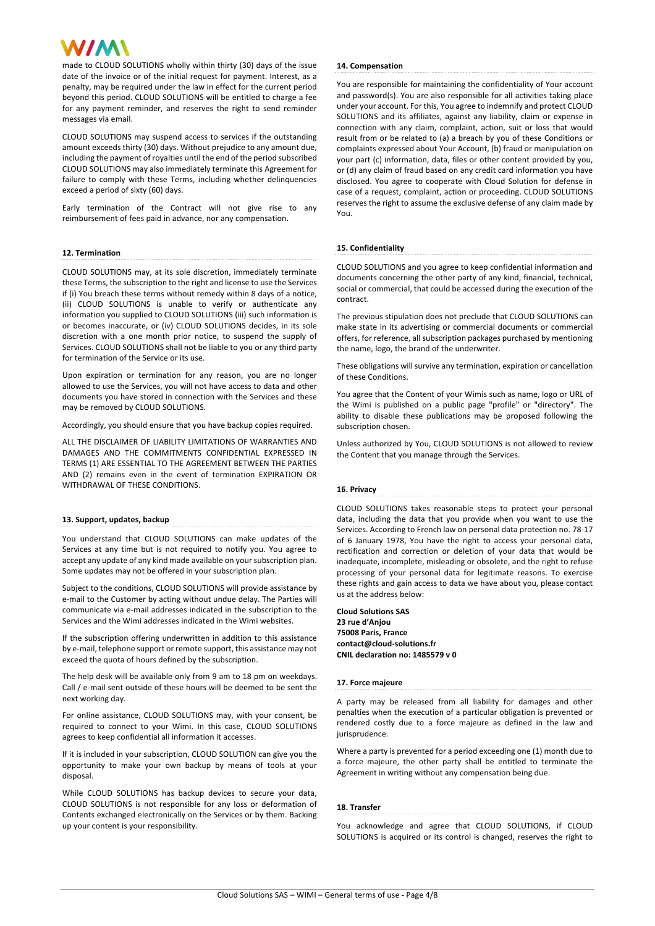made to CLOUD SOLUTIONS wholly within thirty (30) days of the issue date of the invoice or of the initial request for payment. Interest, as a penalty, may be required under the law in effect for the current period beyond this period. CLOUD SOLUTIONS will be entitled to charge a fee for any payment reminder, and reserves the right to send reminder messages via email.

CLOUD SOLUTIONS may suspend access to services if the outstanding amount exceeds thirty (30) days. Without prejudice to any amount due, including the payment of royalties until the end of the period subscribed CLOUD SOLUTIONS may also immediately terminate this Agreement for failure to comply with these Terms, including whether delinquencies exceed a period of sixty (60) days.

Early termination of the Contract will not give rise to any reimbursement of fees paid in advance, nor any compensation.

# **12. Termination**

CLOUD SOLUTIONS may, at its sole discretion, immediately terminate these Terms, the subscription to the right and license to use the Services if (i) You breach these terms without remedy within 8 days of a notice, (ii) CLOUD SOLUTIONS is unable to verify or authenticate any information you supplied to CLOUD SOLUTIONS (iii) such information is or becomes inaccurate, or (iv) CLOUD SOLUTIONS decides, in its sole discretion with a one month prior notice, to suspend the supply of Services. CLOUD SOLUTIONS shall not be liable to you or any third party for termination of the Service or its use.

Upon expiration or termination for any reason, you are no longer allowed to use the Services, you will not have access to data and other documents you have stored in connection with the Services and these may be removed by CLOUD SOLUTIONS.

Accordingly, you should ensure that you have backup copies required.

ALL THE DISCLAIMER OF LIABILITY LIMITATIONS OF WARRANTIES AND DAMAGES AND THE COMMITMENTS CONFIDENTIAL EXPRESSED IN TERMS (1) ARE ESSENTIAL TO THE AGREEMENT BETWEEN THE PARTIES AND (2) remains even in the event of termination EXPIRATION OR WITHDRAWAL OF THESE CONDITIONS.

## **13. Support, updates, backup**

You understand that CLOUD SOLUTIONS can make updates of the Services at any time but is not required to notify you. You agree to accept any update of any kind made available on your subscription plan. Some updates may not be offered in your subscription plan.

Subject to the conditions, CLOUD SOLUTIONS will provide assistance by e-mail to the Customer by acting without undue delay. The Parties will communicate via e-mail addresses indicated in the subscription to the Services and the Wimi addresses indicated in the Wimi websites.

If the subscription offering underwritten in addition to this assistance by e-mail, telephone support or remote support, this assistance may not exceed the quota of hours defined by the subscription.

The help desk will be available only from 9 am to 18 pm on weekdays. Call / e-mail sent outside of these hours will be deemed to be sent the next working day.

For online assistance, CLOUD SOLUTIONS may, with your consent, be required to connect to your Wimi. In this case, CLOUD SOLUTIONS agrees to keep confidential all information it accesses.

If it is included in your subscription, CLOUD SOLUTION can give you the opportunity to make your own backup by means of tools at your disposal.

While CLOUD SOLUTIONS has backup devices to secure your data, CLOUD SOLUTIONS is not responsible for any loss or deformation of Contents exchanged electronically on the Services or by them. Backing up your content is your responsibility.

## **14. Compensation**

You are responsible for maintaining the confidentiality of Your account and password(s). You are also responsible for all activities taking place under your account. For this, You agree to indemnify and protect CLOUD SOLUTIONS and its affiliates, against any liability, claim or expense in connection with any claim, complaint, action, suit or loss that would result from or be related to (a) a breach by you of these Conditions or complaints expressed about Your Account, (b) fraud or manipulation on your part (c) information, data, files or other content provided by you, or (d) any claim of fraud based on any credit card information you have disclosed. You agree to cooperate with Cloud Solution for defense in case of a request, complaint, action or proceeding. CLOUD SOLUTIONS reserves the right to assume the exclusive defense of any claim made by You.

# **15. Confidentiality**

CLOUD SOLUTIONS and you agree to keep confidential information and documents concerning the other party of any kind, financial, technical, social or commercial, that could be accessed during the execution of the contract.

The previous stipulation does not preclude that CLOUD SOLUTIONS can make state in its advertising or commercial documents or commercial offers, for reference, all subscription packages purchased by mentioning the name, logo, the brand of the underwriter.

These obligations will survive any termination, expiration or cancellation of these Conditions.

You agree that the Content of your Wimis such as name, logo or URL of the Wimi is published on a public page "profile" or "directory". The ability to disable these publications may be proposed following the subscription chosen.

Unless authorized by You, CLOUD SOLUTIONS is not allowed to review the Content that you manage through the Services.

# **16. Privacy**

CLOUD SOLUTIONS takes reasonable steps to protect your personal data, including the data that you provide when you want to use the Services. According to French law on personal data protection no. 78-17 of 6 January 1978, You have the right to access your personal data, rectification and correction or deletion of your data that would be inadequate, incomplete, misleading or obsolete, and the right to refuse processing of your personal data for legitimate reasons. To exercise these rights and gain access to data we have about you, please contact us at the address below:

**Cloud Solutions SAS 23 rue d'Anjou 75008 Paris, France contact@cloud-solutions.fr CNIL declaration no: 1485579 v 0**

# **17. Force majeure**

A party may be released from all liability for damages and other penalties when the execution of a particular obligation is prevented or rendered costly due to a force majeure as defined in the law and jurisprudence.

Where a party is prevented for a period exceeding one (1) month due to a force majeure, the other party shall be entitled to terminate the Agreement in writing without any compensation being due.

## **18. Transfer**

You acknowledge and agree that CLOUD SOLUTIONS, if CLOUD SOLUTIONS is acquired or its control is changed, reserves the right to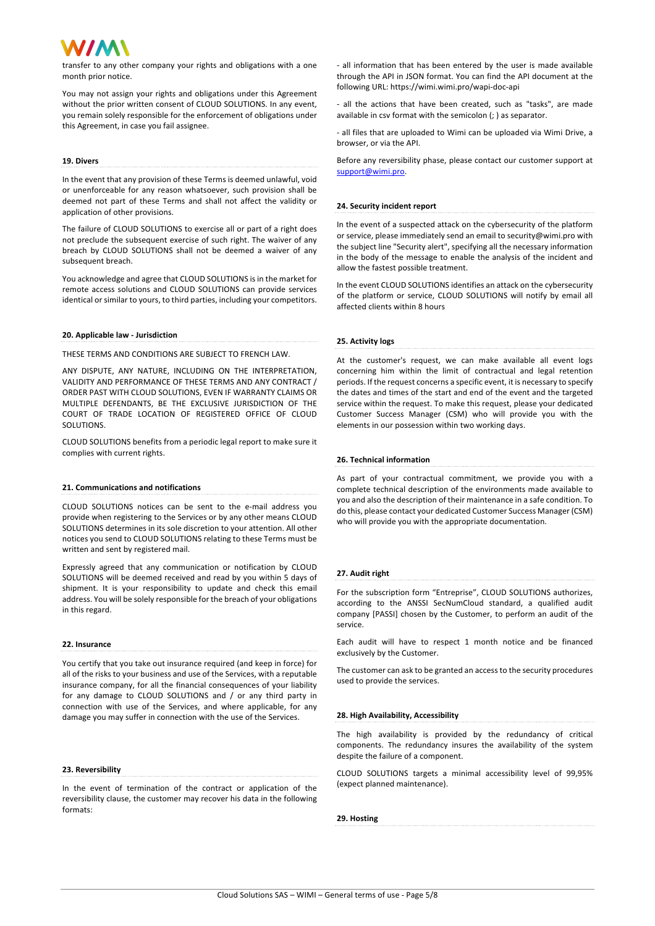transfer to any other company your rights and obligations with a one month prior notice.

You may not assign your rights and obligations under this Agreement without the prior written consent of CLOUD SOLUTIONS. In any event, you remain solely responsible for the enforcement of obligations under this Agreement, in case you fail assignee.

# **19. Divers**

In the event that any provision of these Terms is deemed unlawful, void or unenforceable for any reason whatsoever, such provision shall be deemed not part of these Terms and shall not affect the validity or application of other provisions.

The failure of CLOUD SOLUTIONS to exercise all or part of a right does not preclude the subsequent exercise of such right. The waiver of any breach by CLOUD SOLUTIONS shall not be deemed a waiver of any subsequent breach.

You acknowledge and agree that CLOUD SOLUTIONS is in the market for remote access solutions and CLOUD SOLUTIONS can provide services identical or similar to yours, to third parties, including your competitors.

# **20. Applicable law - Jurisdiction**

THESE TERMS AND CONDITIONS ARE SUBJECT TO FRENCH LAW.

ANY DISPUTE, ANY NATURE, INCLUDING ON THE INTERPRETATION, VALIDITY AND PERFORMANCE OF THESE TERMS AND ANY CONTRACT / ORDER PAST WITH CLOUD SOLUTIONS, EVEN IF WARRANTY CLAIMS OR MULTIPLE DEFENDANTS, BE THE EXCLUSIVE JURISDICTION OF THE COURT OF TRADE LOCATION OF REGISTERED OFFICE OF CLOUD SOLUTIONS.

CLOUD SOLUTIONS benefits from a periodic legal report to make sure it complies with current rights.

# **21. Communications and notifications**

CLOUD SOLUTIONS notices can be sent to the e-mail address you provide when registering to the Services or by any other means CLOUD SOLUTIONS determines in its sole discretion to your attention. All other notices you send to CLOUD SOLUTIONS relating to these Terms must be written and sent by registered mail.

Expressly agreed that any communication or notification by CLOUD SOLUTIONS will be deemed received and read by you within 5 days of shipment. It is your responsibility to update and check this email address. You will be solely responsible for the breach of your obligations in this regard.

# **22. Insurance**

You certify that you take out insurance required (and keep in force) for all of the risks to your business and use of the Services, with a reputable insurance company, for all the financial consequences of your liability for any damage to CLOUD SOLUTIONS and / or any third party in connection with use of the Services, and where applicable, for any damage you may suffer in connection with the use of the Services.

#### **23. Reversibility**

In the event of termination of the contract or application of the reversibility clause, the customer may recover his data in the following formats:

- all information that has been entered by the user is made available through the API in JSON format. You can find the API document at the following URL: https://wimi.wimi.pro/wapi-doc-api

- all the actions that have been created, such as "tasks", are made available in csv format with the semicolon (; ) as separator.

- all files that are uploaded to Wimi can be uploaded via Wimi Drive, a browser, or via the API.

Before any reversibility phase, please contact our customer support at support@wimi.pro.

### **24. Security incident report**

In the event of a suspected attack on the cybersecurity of the platform or service, please immediately send an email to security@wimi.pro with the subject line "Security alert", specifying all the necessary information in the body of the message to enable the analysis of the incident and allow the fastest possible treatment.

In the event CLOUD SOLUTIONS identifies an attack on the cybersecurity of the platform or service, CLOUD SOLUTIONS will notify by email all affected clients within 8 hours

# **25. Activity logs**

At the customer's request, we can make available all event logs concerning him within the limit of contractual and legal retention periods. If the request concerns a specific event, it is necessary to specify the dates and times of the start and end of the event and the targeted service within the request. To make this request, please your dedicated Customer Success Manager (CSM) who will provide you with the elements in our possession within two working days.

## **26. Technical information**

As part of your contractual commitment, we provide you with a complete technical description of the environments made available to you and also the description of their maintenance in a safe condition. To do this, please contact your dedicated Customer Success Manager (CSM) who will provide you with the appropriate documentation.

## **27. Audit right**

service.

For the subscription form "Entreprise", CLOUD SOLUTIONS authorizes, according to the ANSSI SecNumCloud standard, a qualified audit company [PASSI] chosen by the Customer, to perform an audit of the

Each audit will have to respect 1 month notice and be financed exclusively by the Customer.

The customer can ask to be granted an access to the security procedures used to provide the services.

# **28. High Availability, Accessibility**

The high availability is provided by the redundancy of critical components. The redundancy insures the availability of the system despite the failure of a component.

CLOUD SOLUTIONS targets a minimal accessibility level of 99,95% (expect planned maintenance).

**29. Hosting**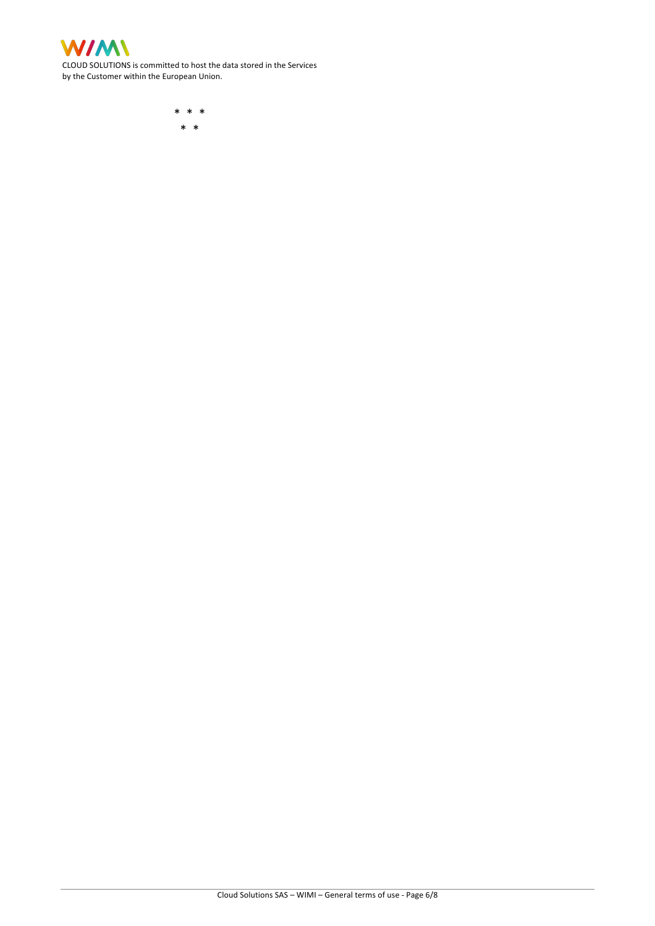

CLOUD SOLUTIONS is committed to host the data stored in the Services by the Customer within the European Union.

> \* \* \* \* \*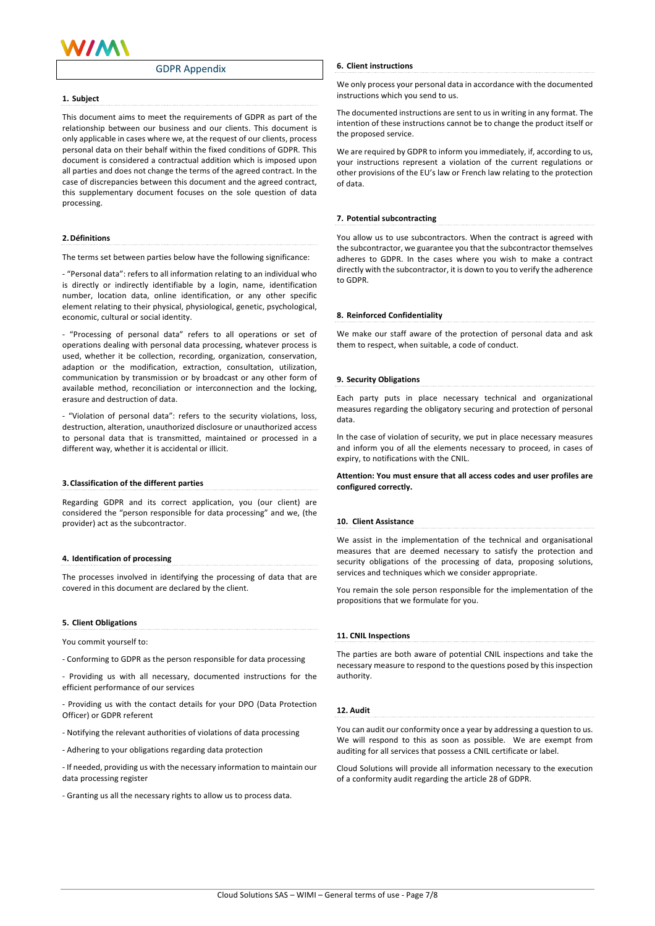

# GDPR Appendix

## **1. Subject**

This document aims to meet the requirements of GDPR as part of the relationship between our business and our clients. This document is only applicable in cases where we, at the request of our clients, process personal data on their behalf within the fixed conditions of GDPR. This document is considered a contractual addition which is imposed upon all parties and does not change the terms of the agreed contract. In the case of discrepancies between this document and the agreed contract, this supplementary document focuses on the sole question of data processing.

# **2.Définitions**

The terms set between parties below have the following significance:

- "Personal data": refers to all information relating to an individual who is directly or indirectly identifiable by a login, name, identification number, location data, online identification, or any other specific element relating to their physical, physiological, genetic, psychological, economic, cultural or social identity.

- "Processing of personal data" refers to all operations or set of operations dealing with personal data processing, whatever process is used, whether it be collection, recording, organization, conservation, adaption or the modification, extraction, consultation, utilization, communication by transmission or by broadcast or any other form of available method, reconciliation or interconnection and the locking, erasure and destruction of data.

- "Violation of personal data": refers to the security violations, loss, destruction, alteration, unauthorized disclosure or unauthorized access to personal data that is transmitted, maintained or processed in a different way, whether it is accidental or illicit.

### **3.Classification of the different parties**

Regarding GDPR and its correct application, you (our client) are considered the "person responsible for data processing" and we, (the provider) act as the subcontractor.

# **4. Identification of processing**

The processes involved in identifying the processing of data that are covered in this document are declared by the client.

## **5. Client Obligations**

You commit yourself to:

- Conforming to GDPR as the person responsible for data processing

- Providing us with all necessary, documented instructions for the efficient performance of our services

- Providing us with the contact details for your DPO (Data Protection Officer) or GDPR referent

- Notifying the relevant authorities of violations of data processing

- Adhering to your obligations regarding data protection

- If needed, providing us with the necessary information to maintain our data processing register

- Granting us all the necessary rights to allow us to process data.

## **6. Client instructions**

We only process your personal data in accordance with the documented instructions which you send to us.

The documented instructions are sent to us in writing in any format. The intention of these instructions cannot be to change the product itself or the proposed service.

We are required by GDPR to inform you immediately, if, according to us, your instructions represent a violation of the current regulations or other provisions of the EU's law or French law relating to the protection of data.

# **7. Potential subcontracting**

You allow us to use subcontractors. When the contract is agreed with the subcontractor, we guarantee you that the subcontractor themselves adheres to GDPR. In the cases where you wish to make a contract directly with the subcontractor, it is down to you to verify the adherence to GDPR.

### **8. Reinforced Confidentiality**

We make our staff aware of the protection of personal data and ask them to respect, when suitable, a code of conduct.

# **9. Security Obligations**

Each party puts in place necessary technical and organizational measures regarding the obligatory securing and protection of personal data.

In the case of violation of security, we put in place necessary measures and inform you of all the elements necessary to proceed, in cases of expiry, to notifications with the CNIL.

# **Attention: You must ensure that all access codes and user profiles are configured correctly.**

**10. Client Assistance**

We assist in the implementation of the technical and organisational measures that are deemed necessary to satisfy the protection and security obligations of the processing of data, proposing solutions, services and techniques which we consider appropriate.

You remain the sole person responsible for the implementation of the propositions that we formulate for you.

# **11. CNIL Inspections**

The parties are both aware of potential CNIL inspections and take the necessary measure to respond to the questions posed by this inspection authority.

# **12. Audit**

You can audit our conformity once a year by addressing a question to us. We will respond to this as soon as possible. We are exempt from auditing for all services that possess a CNIL certificate or label.

Cloud Solutions will provide all information necessary to the execution of a conformity audit regarding the article 28 of GDPR.